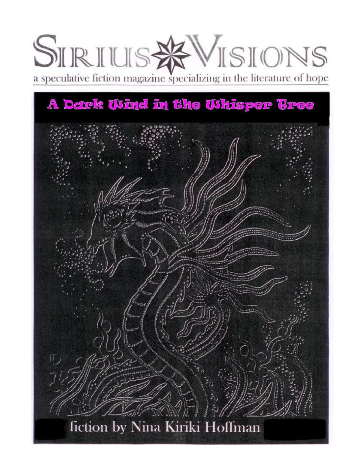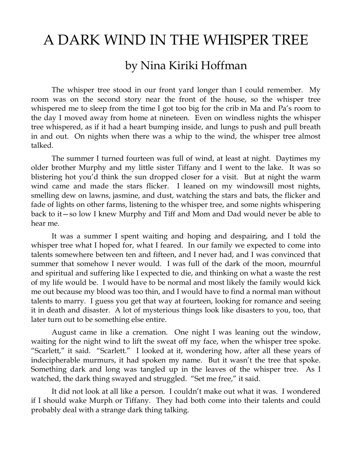## A DARK WIND IN THE WHISPER TREE

## by Nina Kiriki Hoffman

The whisper tree stood in our front yard longer than I could remember. My room was on the second story near the front of the house, so the whisper tree whispered me to sleep from the time I got too big for the crib in Ma and Pa's room to the day I moved away from home at nineteen. Even on windless nights the whisper tree whispered, as if it had a heart bumping inside, and lungs to push and pull breath in and out. On nights when there was a whip to the wind, the whisper tree almost talked.

The summer I turned fourteen was full of wind, at least at night. Daytimes my older brother Murphy and my little sister Tiffany and I went to the lake. It was so blistering hot you'd think the sun dropped closer for a visit. But at night the warm wind came and made the stars flicker. I leaned on my windowsill most nights, smelling dew on lawns, jasmine, and dust, watching the stars and bats, the flicker and fade of lights on other farms, listening to the whisper tree, and some nights whispering back to it—so low I knew Murphy and Tiff and Mom and Dad would never be able to hear me.

It was a summer I spent waiting and hoping and despairing, and I told the whisper tree what I hoped for, what I feared. In our family we expected to come into talents somewhere between ten and fifteen, and I never had, and I was convinced that summer that somehow I never would. I was full of the dark of the moon, mournful and spiritual and suffering like I expected to die, and thinking on what a waste the rest of my life would be. I would have to be normal and most likely the family would kick me out because my blood was too thin, and I would have to find a normal man without talents to marry. I guess you get that way at fourteen, looking for romance and seeing it in death and disaster. A lot of mysterious things look like disasters to you, too, that later turn out to be something else entire.

August came in like a cremation. One night I was leaning out the window, waiting for the night wind to lift the sweat off my face, when the whisper tree spoke. "Scarlett," it said. "Scarlett." I looked at it, wondering how, after all these years of indecipherable murmurs, it had spoken my name. But it wasn't the tree that spoke. Something dark and long was tangled up in the leaves of the whisper tree. As I watched, the dark thing swayed and struggled. "Set me free," it said.

It did not look at all like a person. I couldn't make out what it was. I wondered if I should wake Murph or Tiffany. They had both come into their talents and could probably deal with a strange dark thing talking.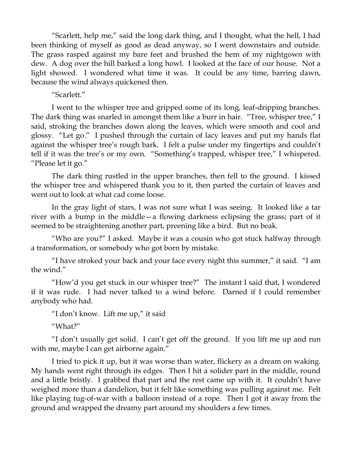"Scarlett, help me," said the long dark thing, and I thought, what the hell, I had been thinking of myself as good as dead anyway, so I went downstairs and outside. The grass rasped against my bare feet and brushed the hem of my nightgown with dew. A dog over the hill barked a long howl. I looked at the face of our house. Not a light showed. I wondered what time it was. It could be any time, barring dawn, because the wind always quickened then.

## "Scarlett."

I went to the whisper tree and gripped some of its long, leaf-dripping branches. The dark thing was snarled in amongst them like a burr in hair. "Tree, whisper tree," I said, stroking the branches down along the leaves, which were smooth and cool and glossy. "Let go." I pushed through the curtain of lacy leaves and put my hands flat against the whisper tree's rough bark. I felt a pulse under my fingertips and couldn't tell if it was the tree's or my own. "Something's trapped, whisper tree," I whispered. "Please let it go."

The dark thing rustled in the upper branches, then fell to the ground. I kissed the whisper tree and whispered thank you to it, then parted the curtain of leaves and went out to look at what cad come loose.

In the gray light of stars, I was not sure what I was seeing. It looked like a tar river with a bump in the middle—a flowing darkness eclipsing the grass; part of it seemed to be straightening another part, preening like a bird. But no beak.

"Who are you?" I asked. Maybe it was a cousin who got stuck halfway through a transformation, or somebody who got born by mistake.

"I have stroked your back and your face every night this summer," it said. "I am the wind."

"How'd you get stuck in our whisper tree?" The instant I said that, I wondered if it was rude. I had never talked to a wind before. Darned if I could remember anybody who had.

"I don't know. Lift me up," it said

"What?"

"I don't usually get solid. I can't get off the ground. If you lift me up and run with me, maybe I can get airborne again."

I tried to pick it up, but it was worse than water, flickery as a dream on waking. My hands went right through its edges. Then I hit a solider part in the middle, round and a little bristly. I grabbed that part and the rest came up with it. It couldn't have weighed more than a dandelion, but it felt like something was pulling against me. Felt like playing tug-of-war with a balloon instead of a rope. Then I got it away from the ground and wrapped the dreamy part around my shoulders a few times.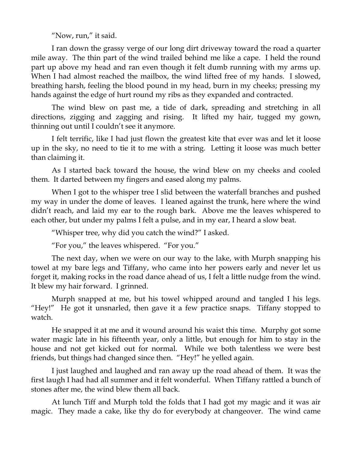"Now, run," it said.

I ran down the grassy verge of our long dirt driveway toward the road a quarter mile away. The thin part of the wind trailed behind me like a cape. I held the round part up above my head and ran even though it felt dumb running with my arms up. When I had almost reached the mailbox, the wind lifted free of my hands. I slowed, breathing harsh, feeling the blood pound in my head, burn in my cheeks; pressing my hands against the edge of hurt round my ribs as they expanded and contracted.

The wind blew on past me, a tide of dark, spreading and stretching in all directions, zigging and zagging and rising. It lifted my hair, tugged my gown, thinning out until I couldn't see it anymore.

I felt terrific, like I had just flown the greatest kite that ever was and let it loose up in the sky, no need to tie it to me with a string. Letting it loose was much better than claiming it.

As I started back toward the house, the wind blew on my cheeks and cooled them. It darted between my fingers and eased along my palms.

When I got to the whisper tree I slid between the waterfall branches and pushed my way in under the dome of leaves. I leaned against the trunk, here where the wind didn't reach, and laid my ear to the rough bark. Above me the leaves whispered to each other, but under my palms I felt a pulse, and in my ear, I heard a slow beat.

"Whisper tree, why did you catch the wind?" I asked.

"For you," the leaves whispered. "For you."

The next day, when we were on our way to the lake, with Murph snapping his towel at my bare legs and Tiffany, who came into her powers early and never let us forget it, making rocks in the road dance ahead of us, I felt a little nudge from the wind. It blew my hair forward. I grinned.

Murph snapped at me, but his towel whipped around and tangled I his legs. "Hey!" He got it unsnarled, then gave it a few practice snaps. Tiffany stopped to watch.

He snapped it at me and it wound around his waist this time. Murphy got some water magic late in his fifteenth year, only a little, but enough for him to stay in the house and not get kicked out for normal. While we both talentless we were best friends, but things had changed since then. "Hey!" he yelled again.

I just laughed and laughed and ran away up the road ahead of them. It was the first laugh I had had all summer and it felt wonderful. When Tiffany rattled a bunch of stones after me, the wind blew them all back.

At lunch Tiff and Murph told the folds that I had got my magic and it was air magic. They made a cake, like thy do for everybody at changeover. The wind came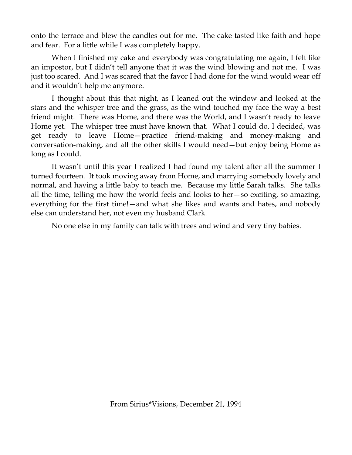onto the terrace and blew the candles out for me. The cake tasted like faith and hope and fear. For a little while I was completely happy.

When I finished my cake and everybody was congratulating me again, I felt like an impostor, but I didn't tell anyone that it was the wind blowing and not me. I was just too scared. And I was scared that the favor I had done for the wind would wear off and it wouldn't help me anymore.

I thought about this that night, as I leaned out the window and looked at the stars and the whisper tree and the grass, as the wind touched my face the way a best friend might. There was Home, and there was the World, and I wasn't ready to leave Home yet. The whisper tree must have known that. What I could do, I decided, was get ready to leave Home—practice friend-making and money-making and conversation-making, and all the other skills I would need—but enjoy being Home as long as I could.

It wasn't until this year I realized I had found my talent after all the summer I turned fourteen. It took moving away from Home, and marrying somebody lovely and normal, and having a little baby to teach me. Because my little Sarah talks. She talks all the time, telling me how the world feels and looks to her—so exciting, so amazing, everything for the first time!—and what she likes and wants and hates, and nobody else can understand her, not even my husband Clark.

No one else in my family can talk with trees and wind and very tiny babies.